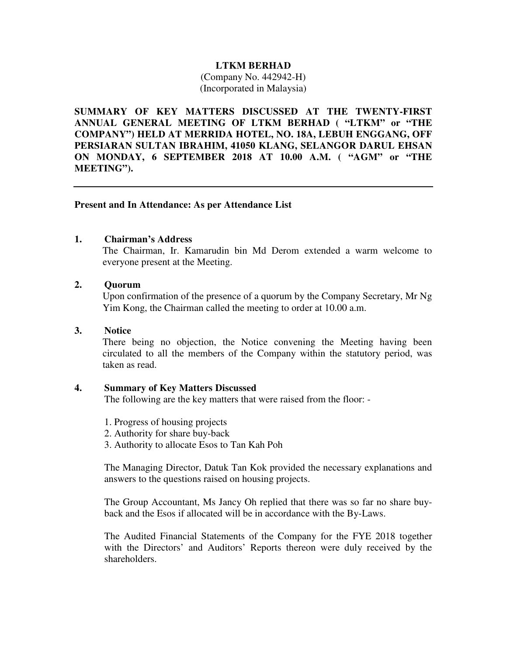## **LTKM BERHAD**

(Company No. 442942-H) (Incorporated in Malaysia)

**SUMMARY OF KEY MATTERS DISCUSSED AT THE TWENTY-FIRST ANNUAL GENERAL MEETING OF LTKM BERHAD ( "LTKM" or "THE COMPANY") HELD AT MERRIDA HOTEL, NO. 18A, LEBUH ENGGANG, OFF PERSIARAN SULTAN IBRAHIM, 41050 KLANG, SELANGOR DARUL EHSAN ON MONDAY, 6 SEPTEMBER 2018 AT 10.00 A.M. ( "AGM" or "THE MEETING").** 

## **Present and In Attendance: As per Attendance List**

## **1. Chairman's Address**

The Chairman, Ir. Kamarudin bin Md Derom extended a warm welcome to everyone present at the Meeting.

## **2. Quorum**

Upon confirmation of the presence of a quorum by the Company Secretary, Mr Ng Yim Kong, the Chairman called the meeting to order at 10.00 a.m.

#### **3. Notice**

There being no objection, the Notice convening the Meeting having been circulated to all the members of the Company within the statutory period, was taken as read.

# **4. Summary of Key Matters Discussed**

The following are the key matters that were raised from the floor: -

- 1. Progress of housing projects
- 2. Authority for share buy-back
- 3. Authority to allocate Esos to Tan Kah Poh

The Managing Director, Datuk Tan Kok provided the necessary explanations and answers to the questions raised on housing projects.

The Group Accountant, Ms Jancy Oh replied that there was so far no share buyback and the Esos if allocated will be in accordance with the By-Laws.

The Audited Financial Statements of the Company for the FYE 2018 together with the Directors' and Auditors' Reports thereon were duly received by the shareholders.